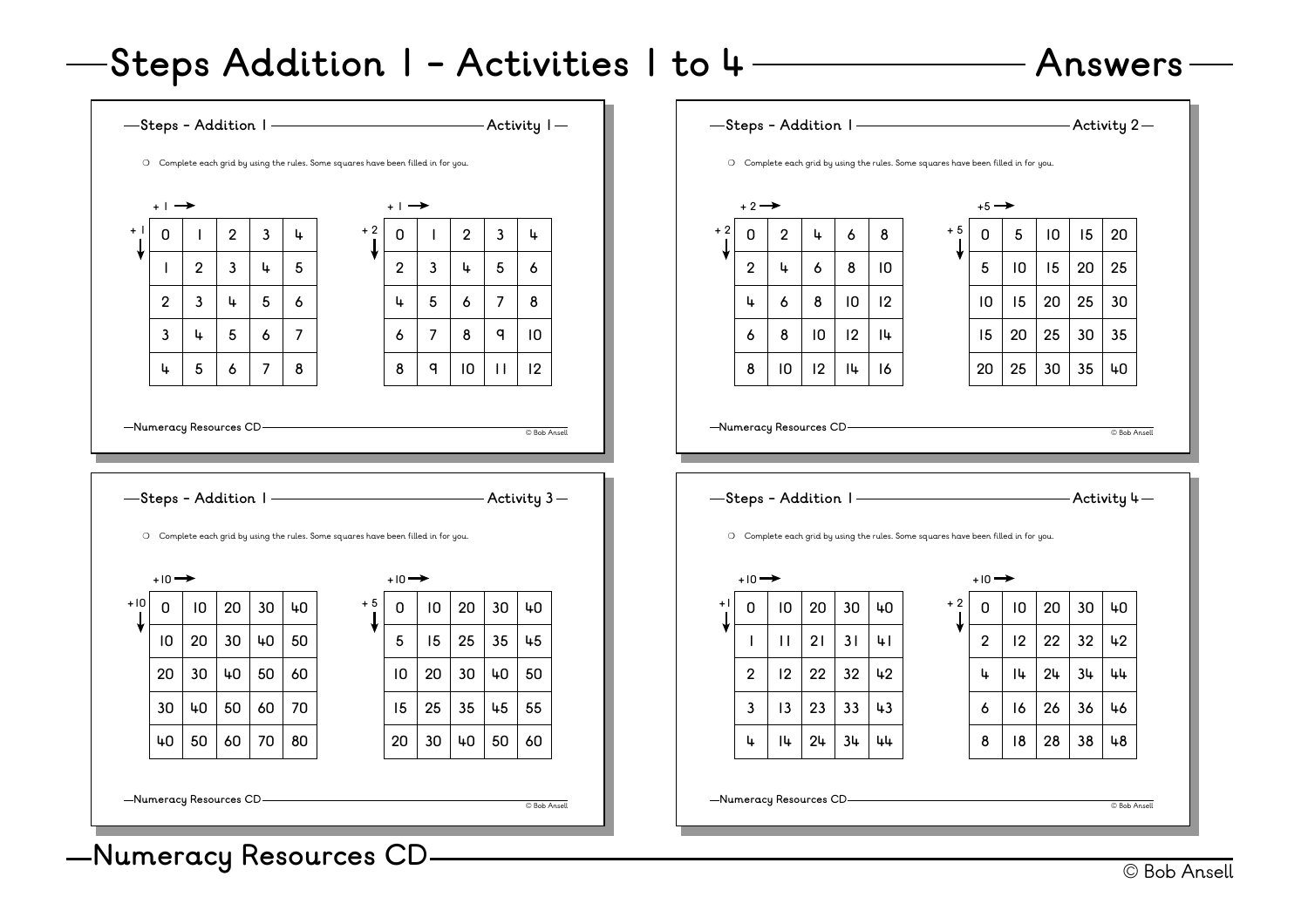## **Steps Addition 1 - Activities 1 to 4 Answers**

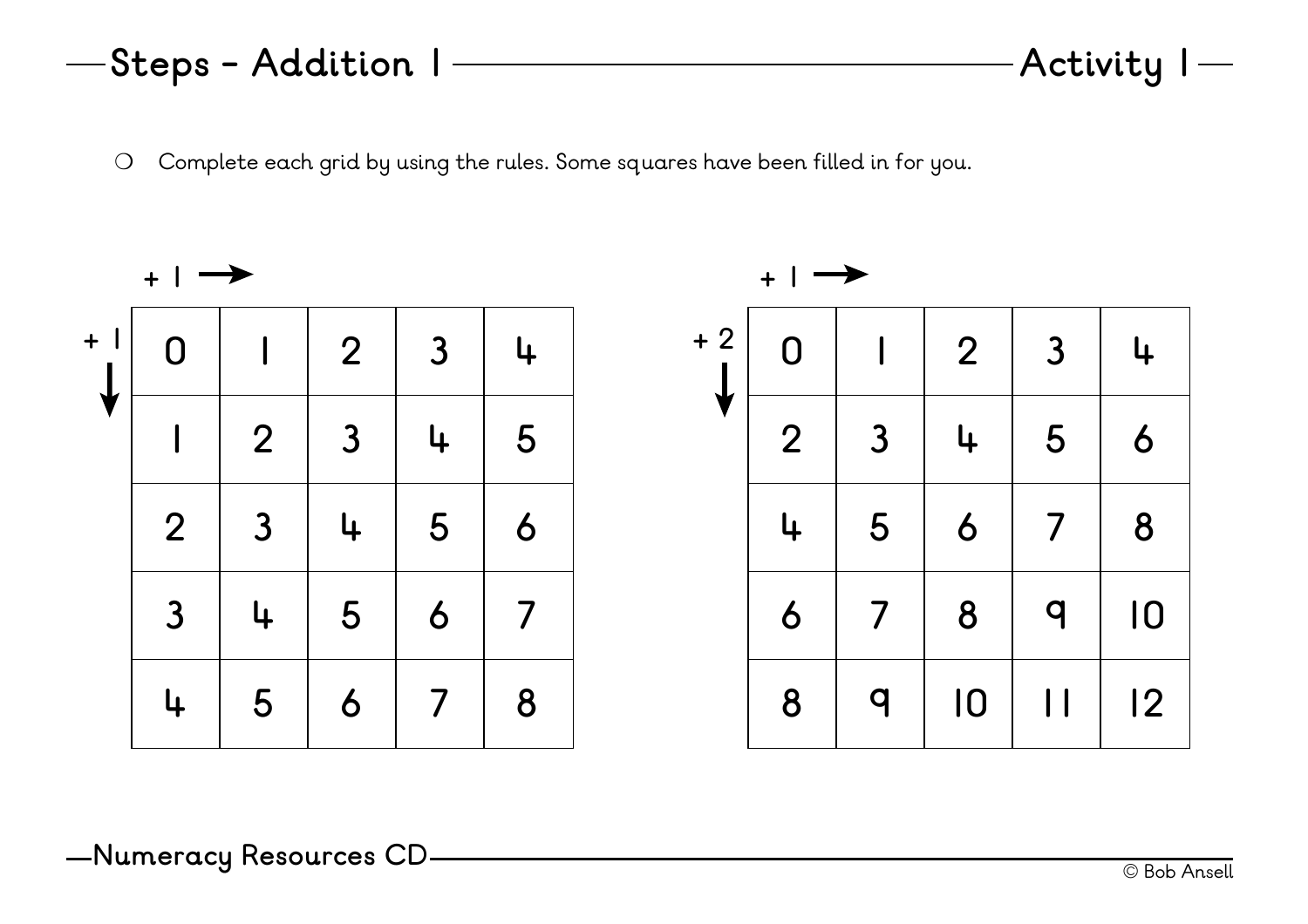|                | $\overline{2}$ | $\overline{3}$ | 4 | 5 |
|----------------|----------------|----------------|---|---|
| $\overline{2}$ | $\mathbf{3}$   | 4              | 5 | 6 |
| $\mathbf{3}$   | 4              | 5              | 6 |   |
| 4              | 5              | 6              |   | 8 |
|                |                |                |   |   |

**0 1 2 3 4**

**+ 1**

**+ 1**

❍ Complete each grid by using the rules. Some squares have been filled in for you.



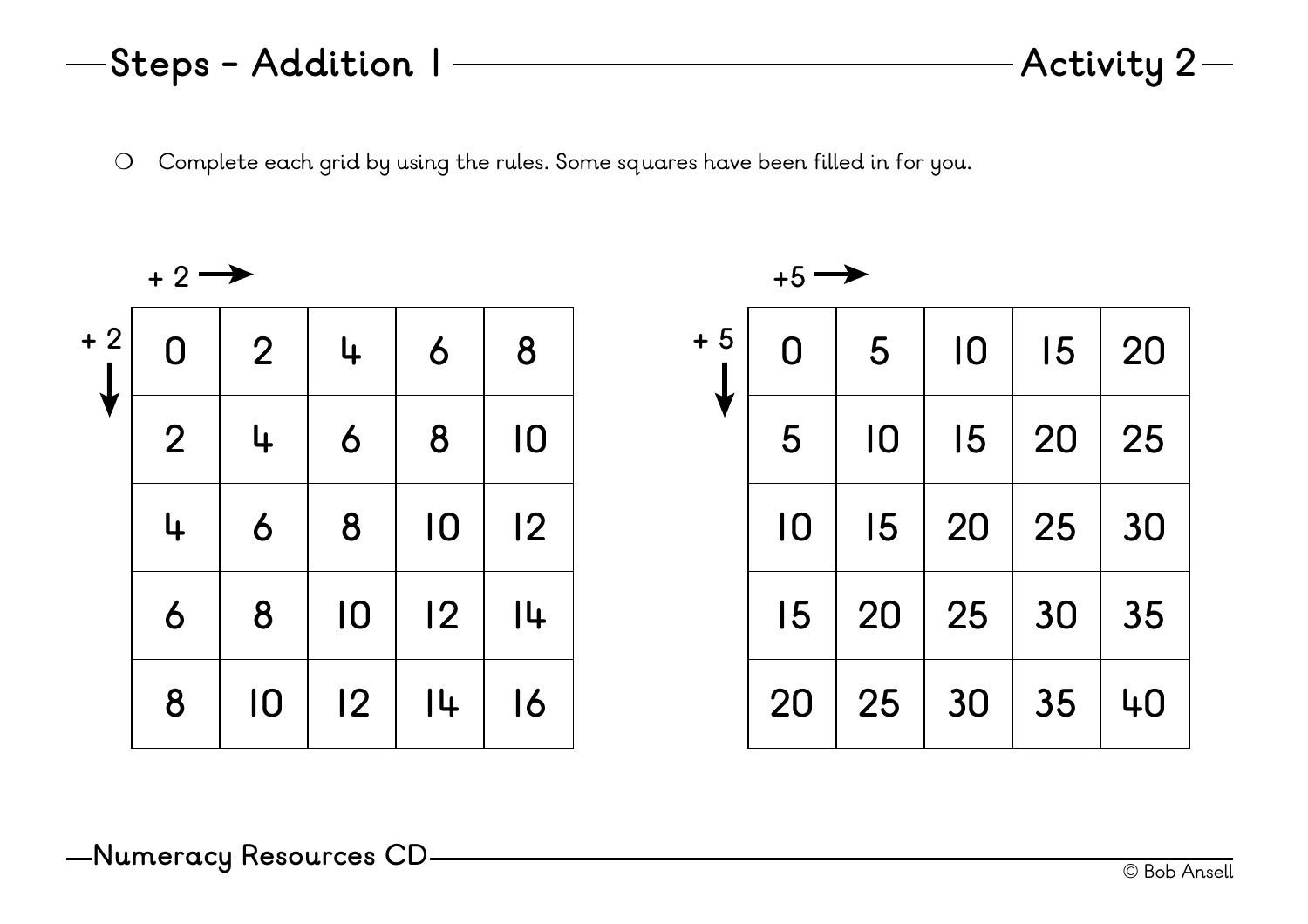**0 2 4 6 8 2 4 6 8 10 4 6 8 10 12 6 8 10 12 14 8 10 12 14 16**  $+ 2 \rightarrow$ **+ 2**

❍ Complete each grid by using the rules. Some squares have been filled in for you.

## **Steps - Addition 1 Activity 2**

| $+5$ | $\overline{0}$  | 5               | $\overline{10}$ | 15 | 20 |
|------|-----------------|-----------------|-----------------|----|----|
|      | 5               | $\overline{10}$ | 15              | 20 | 25 |
|      | $\overline{10}$ | 15              | 20              | 25 | 30 |
|      | 15              | 20              | 25              | 30 | 35 |
|      | 20              | 25              | 30              | 35 | 40 |

 $+5 \rightarrow$ 

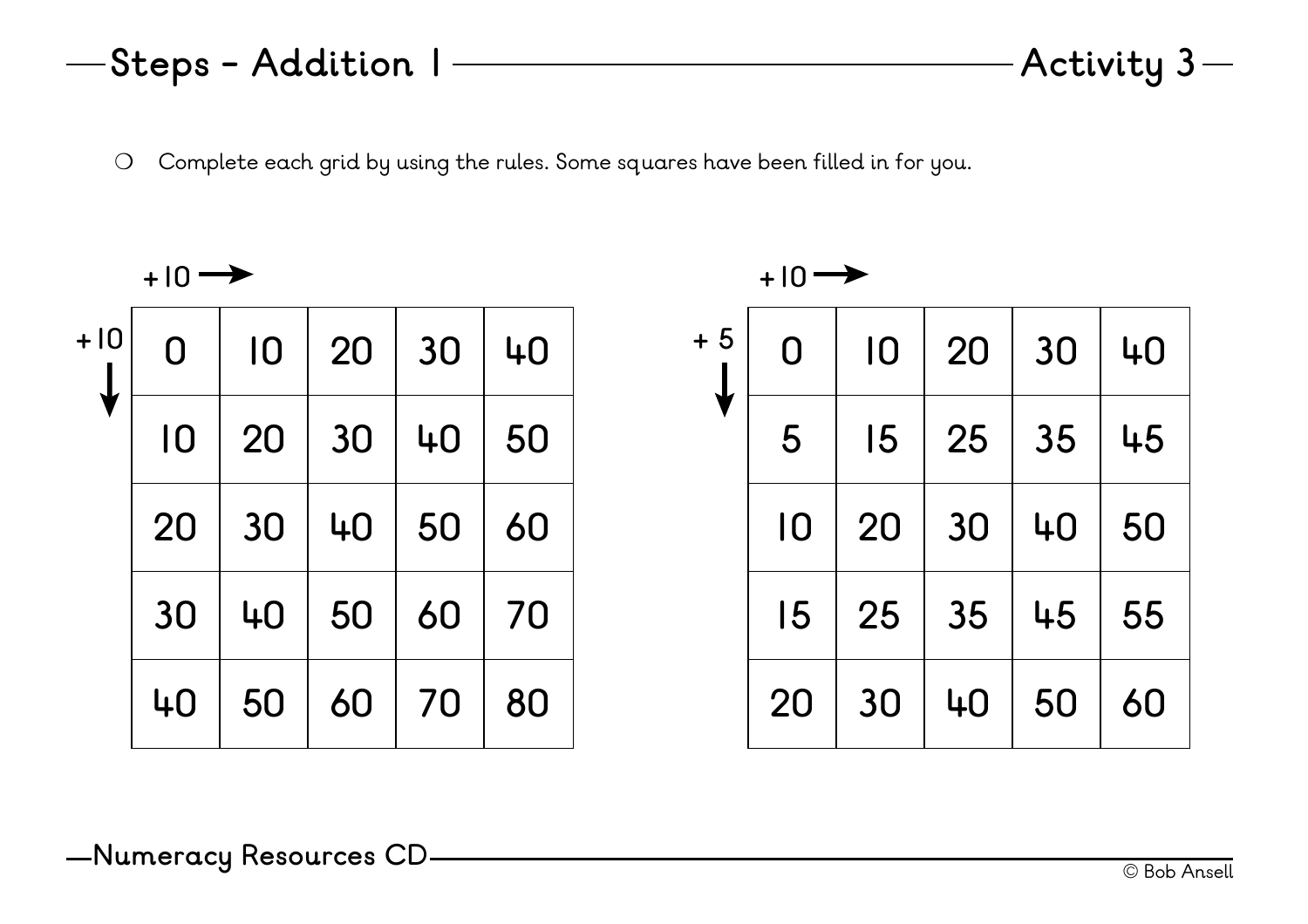❍ Complete each grid by using the rules. Some squares have been filled in for you.

**+ 5**

| —Steps - Addition | Activity $3-$ |
|-------------------|---------------|
|                   |               |
|                   |               |
|                   |               |

**+10**

| $+10$ | $\overline{0}$ | $\overline{10}$ | 20 | 30 | 40 |
|-------|----------------|-----------------|----|----|----|
|       | 10             | 20              | 30 | 40 | 50 |
|       | 20             | 30              | 40 | 50 | 60 |
|       | 30             | 40              | 50 | 60 | 70 |
|       | 40             | 50              | 60 | 70 | 80 |

|   | $+10 \rightarrow$ |    |    |    |    |
|---|-------------------|----|----|----|----|
| 5 | $\mathsf{O}$      | 10 | 20 | 30 | 40 |
|   | 5                 | 15 | 25 | 35 | 45 |
|   | 10                | 20 | 30 | 40 | 50 |
|   | 15                | 25 | 35 | 45 | 55 |
|   | 20                | 30 | 40 | 50 | 60 |